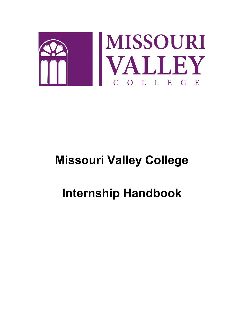

## **Missouri Valley College**

# **Internship Handbook**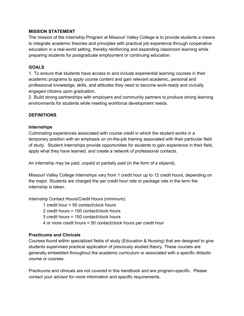#### **MISSION STATEMENT**

The mission of the Internship Program at Missouri Valley College is to provide students a means to integrate academic theories and principles with practical job experience through cooperative education in a real-world setting, thereby reinforcing and expanding classroom learning while preparing students for postgraduate employment or continuing education.

#### **GOALS**

1. To ensure that students have access to and include experiential learning courses in their academic programs to apply course content and gain relevant academic, personal and professional knowledge, skills, and attitudes they need to become work-ready and civically engaged citizens upon graduation.

2. Build strong partnerships with employers and community partners to produce strong learning environments for students while meeting workforce development needs.

#### **DEFINITIONS**

#### **Internships**

Culminating experiences associated with course credit in which the student works in a temporary position with an emphasis on on-the-job training associated with their particular field of study. Student internships provide opportunities for students to gain experience in their field, apply what they have learned, and create a network of professional contacts.

An internship may be paid, unpaid or partially paid (in the form of a stipend).

Missouri Valley College Internships vary from 1 credit hour up to 12 credit hours, depending on the major. Students are charged the per credit hour rate or package rate in the term the internship is taken.

Internship Contact Hours/Credit Hours (minimum):

1 credit hour = 50 contact/clock hours

2 credit hours = 100 contact/clock hours

3 credit hours = 150 contact/clock hours

4 or more credit hours = 50 contact/clock hours per credit hour

#### **Practicums and Clinicals**

Courses found within specialized fields of study (Education & Nursing) that are designed to give students supervised practical application of previously studied theory. These courses are generally embedded throughout the academic curriculum or associated with a specific didactic course or courses.

Practicums and clinicals are not covered in this handbook and are program-specific. Please contact your advisor for more information and specific requirements.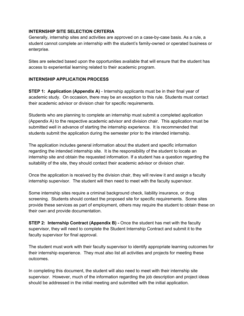#### **INTERNSHIP SITE SELECTION CRITERIA**

Generally, internship sites and activities are approved on a case-by-case basis. As a rule, a student cannot complete an internship with the student's family-owned or operated business or enterprise.

Sites are selected based upon the opportunities available that will ensure that the student has access to experiential learning related to their academic program.

#### **INTERNSHIP APPLICATION PROCESS**

**STEP 1: Application (Appendix A)** - Internship applicants must be in their final year of academic study. On occasion, there may be an exception to this rule. Students must contact their academic advisor or division chair for specific requirements.

Students who are planning to complete an internship must submit a completed application (Appendix A) to the respective academic advisor and division chair. This application must be submitted well in advance of starting the internship experience. It is recommended that students submit the application during the semester prior to the intended internship.

The application includes general information about the student and specific information regarding the intended internship site. It is the responsibility of the student to locate an internship site and obtain the requested information. If a student has a question regarding the suitability of the site, they should contact their academic advisor or division chair.

Once the application is received by the division chair, they will review it and assign a faculty internship supervisor. The student will then need to meet with the faculty supervisor.

Some internship sites require a criminal background check, liability insurance, or drug screening. Students should contact the proposed site for specific requirements. Some sites provide these services as part of employment, others may require the student to obtain these on their own and provide documentation.

**STEP 2: Internship Contract (Appendix B) -** Once the student has met with the faculty supervisor, they will need to complete the Student Internship Contract and submit it to the faculty supervisor for final approval.

The student must work with their faculty supervisor to identify appropriate learning outcomes for their internship experience. They must also list all activities and projects for meeting these outcomes.

In completing this document, the student will also need to meet with their internship site supervisor. However, much of the information regarding the job description and project ideas should be addressed in the initial meeting and submitted with the initial application.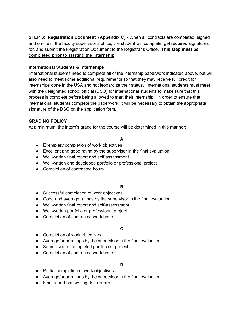**STEP 3: Registration Document (Appendix C)** - When all contracts are completed, signed and on-file in the faculty supervisor's office, the student will complete, get required signatures for, and submit the Registration Document to the Registrar's Office. **This step must be completed prior to starting the internship.**

#### **International Students & Internships**

International students need to complete all of the internship paperwork indicated above, but will also need to meet some additional requirements so that they may receive full credit for internships done in the USA and not jeopardize their status. International students must meet with the designated school official (DSO) for international students to make sure that this process is complete before being allowed to start their internship. In order to ensure that international students complete the paperwork, it will be necessary to obtain the appropriate signature of the DSO on the application form.

## **GRADING POLICY**

At a minimum, the intern's grade for the course will be determined in this manner:

## **A**

- Exemplary completion of work objectives
- Excellent and good rating by the supervisor in the final evaluation
- Well-written final report and self assessment
- Well-written and developed portfolio or professional project
- Completion of contracted hours

## **B**

- Successful completion of work objectives
- Good and average ratings by the supervisor in the final evaluation
- Well-written final report and self-assessment
- Well-written portfolio or professional project
- Completion of contracted work hours

## **C**

- Completion of work objectives
- Average/poor ratings by the supervisor in the final evaluation
- Submission of completed portfolio or project
- Completion of contracted work hours

## **D**

- Partial completion of work objectives
- Average/poor ratings by the supervisor in the final evaluation
- Final report has writing deficiencies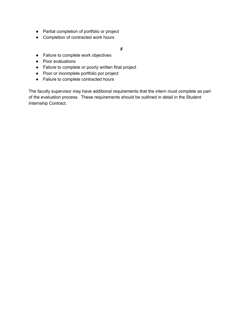- Partial completion of portfolio or project
- Completion of contracted work hours

#### **F**

- Failure to complete work objectives
- Poor evaluations
- Failure to complete or poorly written final project
- Poor or incomplete portfolio por project
- Failure to complete contracted hours

The faculty supervisor may have additional requirements that the intern must complete as part of the evaluation process. These requirements should be outlined in detail in the Student Internship Contract.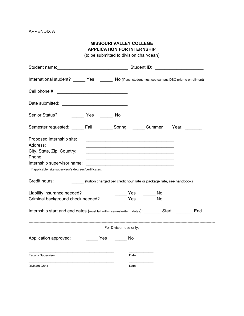## **MISSOURI VALLEY COLLEGE APPLICATION FOR INTERNSHIP**

(to be submitted to division chair/dean)

| International student? ______ Yes ______ No (If yes, student must see campus DSO prior to enrollment) |                                                                                                                        |
|-------------------------------------------------------------------------------------------------------|------------------------------------------------------------------------------------------------------------------------|
|                                                                                                       |                                                                                                                        |
|                                                                                                       |                                                                                                                        |
| Senior Status? __________ Yes ________ No                                                             |                                                                                                                        |
| Semester requested: ______ Fall _______ Spring _______ Summer Year: _______                           |                                                                                                                        |
| Proposed Internship site:<br>Address:                                                                 | <u> 1989 - Johann John Harry Harry Harry Harry Harry Harry Harry Harry Harry Harry Harry Harry Harry Harry Harry H</u> |
| City, State, Zip, Country:                                                                            | <u> 1980 - Paris Alexandria, prima de la provincia de la provincia de la provincia de la provincia de la provincia</u> |
| Phone:                                                                                                | the control of the control of the control of the control of the control of the control of                              |
| Internship supervisor name:                                                                           | <u> 2000 - 2000 - 2000 - 2000 - 2000 - 2000 - 2000 - 2000 - 2000 - 2000 - 2000 - 2000 - 2000 - 2000 - 2000 - 200</u>   |
|                                                                                                       |                                                                                                                        |
| Credit hours: ____________(tuition charged per credit hour rate or package rate, see handbook)        |                                                                                                                        |
|                                                                                                       | ______ Yes ______ No                                                                                                   |
|                                                                                                       |                                                                                                                        |
|                                                                                                       |                                                                                                                        |
| Internship start and end dates (must fall within semester/term dates): Start _______ End              |                                                                                                                        |
|                                                                                                       | For Division use only:                                                                                                 |
| Application approved: __________ Yes ________ No                                                      |                                                                                                                        |
| Faculty Supervisor                                                                                    | Date                                                                                                                   |
| Division Chair                                                                                        | Date                                                                                                                   |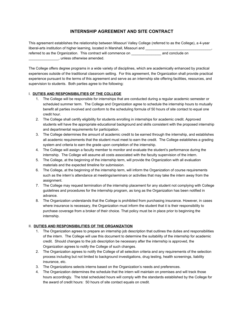## **INTERNSHIP AGREEMENT AND SITE CONTRACT**

| This agreement establishes the relationship between Missouri Valley College (referred to as the College), a 4-year |                 |  |  |
|--------------------------------------------------------------------------------------------------------------------|-----------------|--|--|
| liberal-arts institution of higher learning, located in Marshall, Missouri and                                     |                 |  |  |
| referred to as the Organization. This contract will commence on                                                    | and conclude on |  |  |
| unless otherwise amended.                                                                                          |                 |  |  |

The College offers degree programs in a wide variety of disciplines, which are academically enhanced by practical experiences outside of the traditional classroom setting. For this agreement, the Organization shall provide practical experience pursuant to the terms of this agreement and serve as an internship site offering facilities, resources, and supervision to students. Both parties agree to the following:

#### I. **DUTIES AND RESPONSIBILITIES OF THE COLLEGE**

- 1. The College will be responsible for internships that are conducted during a regular academic semester or scheduled summer term. The College and Organization agree to schedule the internship hours to mutually benefit all parties involved and conform to the scheduling formula of 50 hours of site contact to equal one credit hour.
- 2. The College shall certify eligibility for students enrolling in internships for academic credit. Approved students will have the appropriate educational background and skills consistent with the proposed internship and departmental requirements for participation.
- 3. The College determines the amount of academic credit to be earned through the internship, and establishes all academic requirements that the student must meet to earn the credit. The College establishes a grading system and criteria to earn the grade upon completion of the internship.
- 4. The College will assign a faculty member to monitor and evaluate the student's performance during the internship. The College will assume all costs associated with the faculty supervision of the intern.
- 5. The College, at the beginning of the internship term, will provide the Organization with all evaluation materials and the expected timeline for submission.
- 6. The College, at the beginning of the internship term, will inform the Organization of course requirements such as the intern's attendance at meetings/seminars or activities that may take the intern away from the assignment.
- 7. The College may request termination of the internship placement for any student not complying with College guidelines and procedures for the internship program, as long as the Organization has been notified in advance.
- 8. The Organization understands that the College is prohibited from purchasing insurance. However, in cases where insurance is necessary, the Organization must inform the student that it is their responsibility to purchase coverage from a broker of their choice. That policy must be in place prior to beginning the internship.

#### II. **DUTIES AND RESPONSIBILITIES OF THE ORGANIZATION**

- 1. The Organization agrees to prepare an internship job description that outlines the duties and responsibilities of the intern. The College will use this document to determine the suitability of the internship for academic credit. Should changes to the job description be necessary after the internship is approved, the Organization agrees to notify the College of such changes.
- 2. The Organization agrees to notify the College of all selection criteria and any requirements of the selection process including but not limited to background investigations, drug testing, health screenings, liability insurance, etc.
- 3. The Organizations selects interns based on the Organization's needs and preferences.
- 4. The Organization determines the schedule that the intern will maintain on premises and will track those hours accordingly. The total scheduled hours will comply with the standards established by the College for the award of credit hours: 50 hours of site contact equals on credit.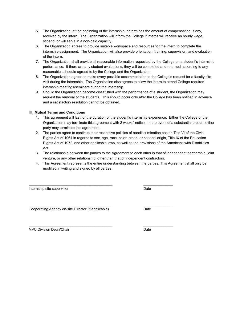- 5. The Organization, at the beginning of the internship, determines the amount of compensation, if any, received by the intern. The Organization will inform the College if interns will receive an hourly wage, stipend, or will serve in a non-paid capacity.
- 6. The Organization agrees to provide suitable workspace and resources for the intern to complete the internship assignment. The Organization will also provide orientation, training, supervision, and evaluation of the intern.
- 7. The Organization shall provide all reasonable information requested by the College on a student's internship performance. If there are any student evaluations, they will be completed and returned according to any reasonable schedule agreed to by the College and the Organization.
- 8. The Organization agrees to make every possible accommodation to the College's request for a faculty site visit during the internship. The Organization also agrees to allow the intern to attend College-required internship meetings/seminars during the internship.
- 9. Should the Organization become dissatisfied with the performance of a student, the Organization may request the removal of the students. This should occur only after the College has been notified in advance and a satisfactory resolution cannot be obtained.

#### **III. Mutual Terms and Conditions**

- 1. This agreement will last for the duration of the student's internship experience. Either the College or the Organization may terminate this agreement with 2 weeks' notice. In the event of a substantial breach, either party may terminate this agreement.
- 2. The parties agree to continue their respective policies of nondiscrimination bas on Title VI of the Civial Rights Act of 1964 in regards to sex, age, race, color, creed, or national origin, Title IX of the Education Rights Act of 1972, and other applicable laws, as well as the provisions of the Americans with Disabilities Act.
- 3. The relationship between the parties to the Agreement to each other is that of independent partnership, joint venture, or any other relationship, other than that of independent contractors.
- 4. This Agreement represents the entire understanding between the parties. This Agreement shall only be modified in writing and signed by all parties.

\_\_\_\_\_\_\_\_\_\_\_\_\_\_\_\_\_\_\_\_\_\_\_\_\_\_\_\_\_\_\_\_\_\_\_\_\_\_\_\_\_\_ \_\_\_\_\_\_\_\_\_\_\_\_\_\_\_

\_\_\_\_\_\_\_\_\_\_\_\_\_\_\_\_\_\_\_\_\_\_\_\_\_\_\_\_\_\_\_\_\_\_\_\_\_\_\_\_\_\_ \_\_\_\_\_\_\_\_\_\_\_\_\_\_\_

\_\_\_\_\_\_\_\_\_\_\_\_\_\_\_\_\_\_\_\_\_\_\_\_\_\_\_\_\_\_\_\_\_\_\_\_\_\_\_\_\_\_ \_\_\_\_\_\_\_\_\_\_\_\_\_\_\_

Internship site supervisor **Date** 

Cooperating Agency on-site Director (if applicable) Date

MVC Division Dean/Chair **Date** Date **Date**